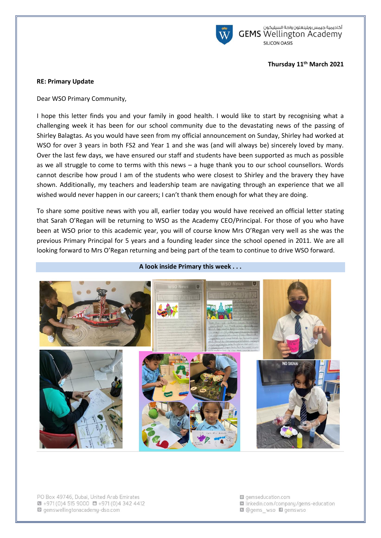

أكاديمية جيمس ويلينغتون واحة السيليكون<br>GEMS Wellington Academy SILICON OASIS

### **Thursday 11th March 2021**

### **RE: Primary Update**

Dear WSO Primary Community,

I hope this letter finds you and your family in good health. I would like to start by recognising what a challenging week it has been for our school community due to the devastating news of the passing of Shirley Balagtas. As you would have seen from my official announcement on Sunday, Shirley had worked at WSO for over 3 years in both FS2 and Year 1 and she was (and will always be) sincerely loved by many. Over the last few days, we have ensured our staff and students have been supported as much as possible as we all struggle to come to terms with this news – a huge thank you to our school counsellors. Words cannot describe how proud I am of the students who were closest to Shirley and the bravery they have shown. Additionally, my teachers and leadership team are navigating through an experience that we all wished would never happen in our careers; I can't thank them enough for what they are doing.

To share some positive news with you all, earlier today you would have received an official letter stating that Sarah O'Regan will be returning to WSO as the Academy CEO/Principal. For those of you who have been at WSO prior to this academic year, you will of course know Mrs O'Regan very well as she was the previous Primary Principal for 5 years and a founding leader since the school opened in 2011. We are all looking forward to Mrs O'Regan returning and being part of the team to continue to drive WSO forward.



**A look inside Primary this week . . .** 

PO Box 49746, Dubai, United Arab Emirates  $\bullet$  +971 (0)4 515 9000  $\bullet$  +971 (0)4 342 4412 gemswellingtonacademy-dso.com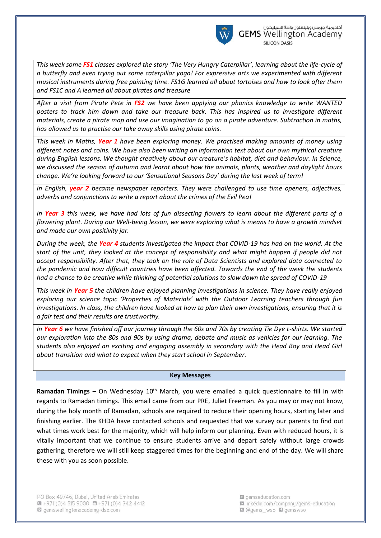

*This week some FS1 classes explored the story 'The Very Hungry Caterpillar', learning about the life-cycle of a butterfly and even trying out some caterpillar yoga! For expressive arts we experimented with different musical instruments during free painting time. FS1G learned all about tortoises and how to look after them and FS1C and A learned all about pirates and treasure*

*After a visit from Pirate Pete in FS2 we have been applying our phonics knowledge to write WANTED posters to track him down and take our treasure back. This has inspired us to investigate different materials, create a pirate map and use our imagination to go on a pirate adventure. Subtraction in maths, has allowed us to practise our take away skills using pirate coins.*

*This week in Maths, Year 1 have been exploring money. We practised making amounts of money using different notes and coins. We have also been writing an information text about our own mythical creature during English lessons. We thought creatively about our creature's habitat, diet and behaviour. In Science, we discussed the season of autumn and learnt about how the animals, plants, weather and daylight hours change. We're looking forward to our 'Sensational Seasons Day' during the last week of term!*

*In English, year 2 became newspaper reporters. They were challenged to use time openers, adjectives, adverbs and conjunctions to write a report about the crimes of the Evil Pea!*

*In Year 3 this week, we have had lots of fun dissecting flowers to learn about the different parts of a flowering plant. During our Well-being lesson, we were exploring what is means to have a growth mindset and made our own positivity jar.*

*During the week, the Year 4 students investigated the impact that COVID-19 has had on the world. At the start of the unit, they looked at the concept of responsibility and what might happen if people did not accept responsibility. After that, they took on the role of Data Scientists and explored data connected to the pandemic and how difficult countries have been affected. Towards the end of the week the students had a chance to be creative while thinking of potential solutions to slow down the spread of COVID-19*

*This week in Year 5 the children have enjoyed planning investigations in science. They have really enjoyed exploring our science topic 'Properties of Materials' with the Outdoor Learning teachers through fun investigations. In class, the children have looked at how to plan their own investigations, ensuring that it is a fair test and their results are trustworthy.*

*In Year 6 we have finished off our journey through the 60s and 70s by creating Tie Dye t-shirts. We started our exploration into the 80s and 90s by using drama, debate and music as vehicles for our learning. The students also enjoyed an exciting and engaging assembly in secondary with the Head Boy and Head Girl about transition and what to expect when they start school in September.*

#### **Key Messages**

**Ramadan Timings –** On Wednesday 10<sup>th</sup> March, you were emailed a quick questionnaire to fill in with regards to Ramadan timings. This email came from our PRE, Juliet Freeman. As you may or may not know, during the holy month of Ramadan, schools are required to reduce their opening hours, starting later and finishing earlier. The KHDA have contacted schools and requested that we survey our parents to find out what times work best for the majority, which will help inform our planning. Even with reduced hours, it is vitally important that we continue to ensure students arrive and depart safely without large crowds gathering, therefore we will still keep staggered times for the beginning and end of the day. We will share these with you as soon possible.

PO Box 49746, Dubai, United Arab Emirates  $\bullet$  +971 (0)4 515 9000  $\bullet$  +971 (0)4 342 4412 gemswellingtonacademy-dso.com

**Q** gemseducation com la linkedin.com/company/gems-education **Q** @gems\_wso **Q** gemswso